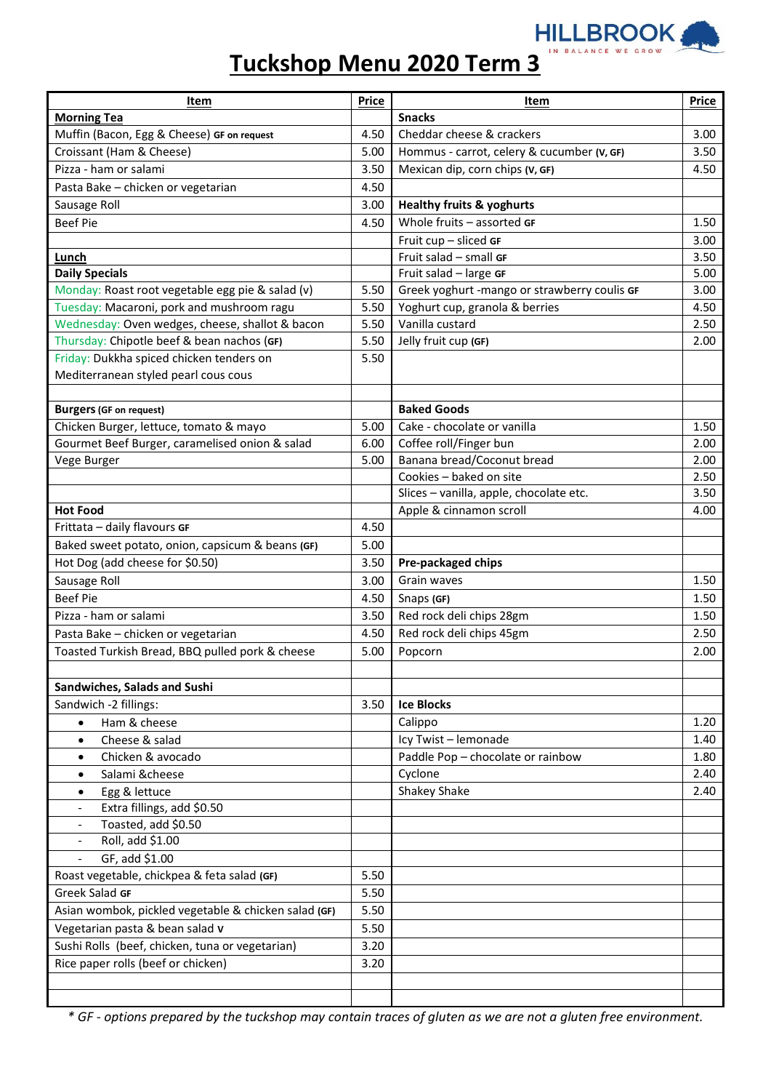

## **Tuckshop Menu 2020 Term 3**

| Item                                                 | <b>Price</b> | Item                                         |      |
|------------------------------------------------------|--------------|----------------------------------------------|------|
| <b>Morning Tea</b>                                   |              | <b>Snacks</b>                                |      |
| Muffin (Bacon, Egg & Cheese) GF on request           | 4.50         | Cheddar cheese & crackers                    | 3.00 |
| Croissant (Ham & Cheese)                             | 5.00         | Hommus - carrot, celery & cucumber (v, GF)   | 3.50 |
| Pizza - ham or salami                                | 3.50         | Mexican dip, corn chips (v, GF)              | 4.50 |
| Pasta Bake - chicken or vegetarian                   | 4.50         |                                              |      |
| Sausage Roll                                         | 3.00         | <b>Healthy fruits &amp; yoghurts</b>         |      |
| <b>Beef Pie</b>                                      | 4.50         | Whole fruits $-$ assorted GF                 | 1.50 |
|                                                      |              | Fruit cup - sliced GF                        | 3.00 |
| Lunch                                                |              | Fruit salad - small GF                       | 3.50 |
| <b>Daily Specials</b>                                |              | Fruit salad - large GF                       | 5.00 |
| Monday: Roast root vegetable egg pie & salad (v)     | 5.50         | Greek yoghurt -mango or strawberry coulis GF | 3.00 |
| Tuesday: Macaroni, pork and mushroom ragu            | 5.50         | Yoghurt cup, granola & berries               | 4.50 |
| Wednesday: Oven wedges, cheese, shallot & bacon      | 5.50         | Vanilla custard                              | 2.50 |
| Thursday: Chipotle beef & bean nachos (GF)           | 5.50         | Jelly fruit cup (GF)                         | 2.00 |
| Friday: Dukkha spiced chicken tenders on             | 5.50         |                                              |      |
| Mediterranean styled pearl cous cous                 |              |                                              |      |
|                                                      |              |                                              |      |
| <b>Burgers (GF on request)</b>                       |              | <b>Baked Goods</b>                           |      |
| Chicken Burger, lettuce, tomato & mayo               | 5.00         | Cake - chocolate or vanilla                  | 1.50 |
| Gourmet Beef Burger, caramelised onion & salad       | 6.00         | Coffee roll/Finger bun                       | 2.00 |
| Vege Burger                                          | 5.00         | Banana bread/Coconut bread                   | 2.00 |
|                                                      |              | Cookies - baked on site                      | 2.50 |
|                                                      |              | Slices - vanilla, apple, chocolate etc.      | 3.50 |
| <b>Hot Food</b>                                      |              | Apple & cinnamon scroll                      | 4.00 |
| Frittata - daily flavours GF                         | 4.50         |                                              |      |
| Baked sweet potato, onion, capsicum & beans (GF)     | 5.00         |                                              |      |
| Hot Dog (add cheese for \$0.50)                      | 3.50         | Pre-packaged chips                           |      |
| Sausage Roll                                         | 3.00         | Grain waves                                  | 1.50 |
| <b>Beef Pie</b>                                      | 4.50         | Snaps (GF)                                   | 1.50 |
| Pizza - ham or salami                                | 3.50         | Red rock deli chips 28gm                     | 1.50 |
| Pasta Bake - chicken or vegetarian                   | 4.50         | Red rock deli chips 45gm                     | 2.50 |
| Toasted Turkish Bread, BBQ pulled pork & cheese      | 5.00         | Popcorn                                      | 2.00 |
|                                                      |              |                                              |      |
| Sandwiches, Salads and Sushi                         |              |                                              |      |
| Sandwich -2 fillings:                                | 3.50         | <b>Ice Blocks</b>                            |      |
| Ham & cheese<br>$\bullet$                            |              | Calippo                                      | 1.20 |
| Cheese & salad<br>$\bullet$                          |              | Icy Twist - lemonade                         | 1.40 |
| Chicken & avocado<br>$\bullet$                       |              | Paddle Pop - chocolate or rainbow            | 1.80 |
| Salami &cheese<br>$\bullet$                          |              | Cyclone                                      | 2.40 |
| Egg & lettuce<br>$\bullet$                           |              | Shakey Shake                                 | 2.40 |
| Extra fillings, add \$0.50                           |              |                                              |      |
| Toasted, add \$0.50                                  |              |                                              |      |
| Roll, add \$1.00<br>$\overline{\phantom{a}}$         |              |                                              |      |
| GF, add \$1.00                                       |              |                                              |      |
| Roast vegetable, chickpea & feta salad (GF)          | 5.50         |                                              |      |
| Greek Salad GF                                       | 5.50         |                                              |      |
| Asian wombok, pickled vegetable & chicken salad (GF) | 5.50         |                                              |      |
| Vegetarian pasta & bean salad v                      | 5.50         |                                              |      |
| Sushi Rolls (beef, chicken, tuna or vegetarian)      | 3.20         |                                              |      |
| Rice paper rolls (beef or chicken)                   | 3.20         |                                              |      |
|                                                      |              |                                              |      |
|                                                      |              |                                              |      |

*\* GF - options prepared by the tuckshop may contain traces of gluten as we are not a gluten free environment.*